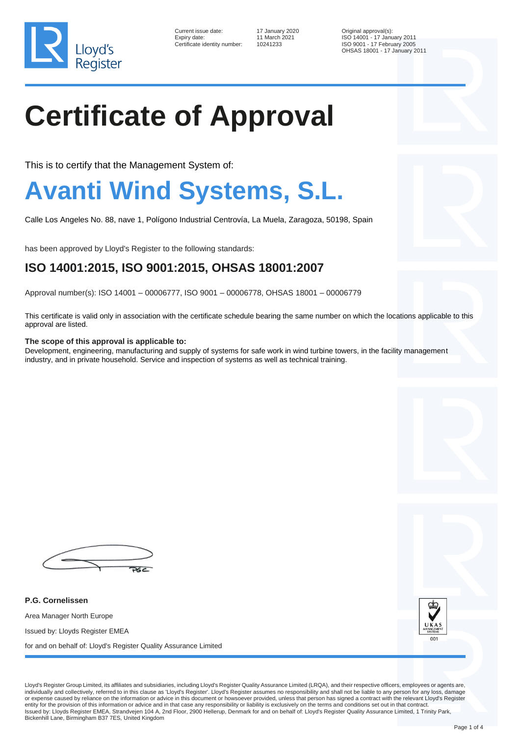

Current issue date: 17 January 2020 Qriginal approval(s): Certificate identity number: 10241233

Expiry date: 11 March 2021 ISO 14001 - 17 January 2011<br>Certificate identity number: 10241233 ISO 9001 - 17 Febru OHSAS 18001 - 17 January 2011

# **Certificate of Approval**

This is to certify that the Management System of:

### **Avanti Wind Systems, S.L.**

Calle Los Angeles No. 88, nave 1, Polígono Industrial Centrovía, La Muela, Zaragoza, 50198, Spain

has been approved by Lloyd's Register to the following standards:

#### **ISO 14001:2015, ISO 9001:2015, OHSAS 18001:2007**

Approval number(s): ISO 14001 – 00006777, ISO 9001 – 00006778, OHSAS 18001 – 00006779

This certificate is valid only in association with the certificate schedule bearing the same number on which the locations applicable to this approval are listed.

#### **The scope of this approval is applicable to:**

Development, engineering, manufacturing and supply of systems for safe work in wind turbine towers, in the facility management industry, and in private household. Service and inspection of systems as well as technical training.



**P.G. Cornelissen** Area Manager North Europe Issued by: Lloyds Register EMEA for and on behalf of: Lloyd's Register Quality Assurance Limited



Lloyd's Register Group Limited, its affiliates and subsidiaries, including Lloyd's Register Quality Assurance Limited (LRQA), and their respective officers, employees or agents are, individually and collectively, referred to in this clause as 'Lloyd's Register'. Lloyd's Register assumes no responsibility and shall not be liable to any person for any loss, damage or expense caused by reliance on the information or advice in this document or howsoever provided, unless that person has signed a contract with the relevant Lloyd's Register entity for the provision of this information or advice and in that case any responsibility or liability is exclusively on the terms and conditions set out in that contract. Issued by: Lloyds Register EMEA, Strandvejen 104 A, 2nd Floor, 2900 Hellerup, Denmark for and on behalf of: Lloyd's Register Quality Assurance Limited, 1 Trinity Park, Bickenhill Lane, Birmingham B37 7ES, United Kingdom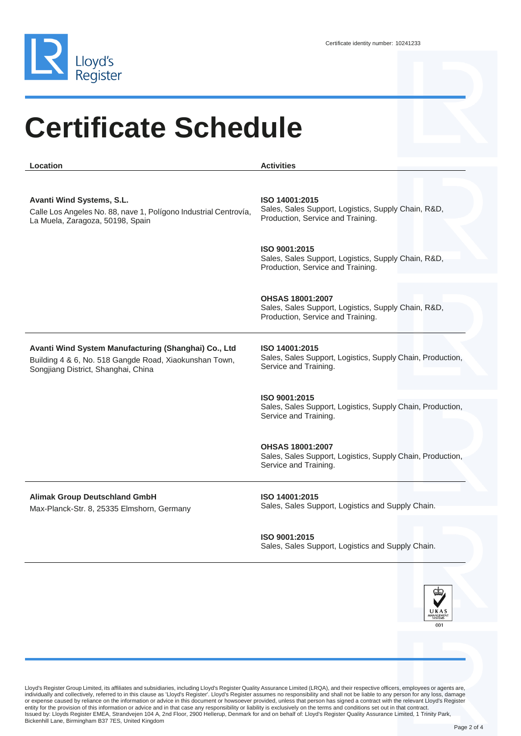

### **Certificate Schedule**

**Location Activities Avanti Wind Systems, S.L.** Calle Los Angeles No. 88, nave 1, Polígono Industrial Centrovía, La Muela, Zaragoza, 50198, Spain **ISO 14001:2015** Sales, Sales Support, Logistics, Supply Chain, R&D, Production, Service and Training. **ISO 9001:2015** Sales, Sales Support, Logistics, Supply Chain, R&D, Production, Service and Training. **OHSAS 18001:2007** Sales, Sales Support, Logistics, Supply Chain, R&D, Production, Service and Training. **Avanti Wind System Manufacturing (Shanghai) Co., Ltd** Building 4 & 6, No. 518 Gangde Road, Xiaokunshan Town, Songjiang District, Shanghai, China **ISO 14001:2015** Sales, Sales Support, Logistics, Supply Chain, Production, Service and Training. **ISO 9001:2015** Sales, Sales Support, Logistics, Supply Chain, Production, Service and Training. **OHSAS 18001:2007** Sales, Sales Support, Logistics, Supply Chain, Production, Service and Training. **Alimak Group Deutschland GmbH** Max-Planck-Str. 8, 25335 Elmshorn, Germany **ISO 14001:2015** Sales, Sales Support, Logistics and Supply Chain. **ISO 9001:2015** Sales, Sales Support, Logistics and Supply Chain.



Lloyd's Register Group Limited, its affiliates and subsidiaries, including Lloyd's Register Quality Assurance Limited (LRQA), and their respective officers, employees or agents are,<br>individually and collectively, referred or expense caused by reliance on the information or advice in this document or howsoever provided, unless that person has signed a contract with the relevant Lloyd's Register entity for the provision of this information or advice and in that case any responsibility or liability is exclusively on the terms and conditions set out in that contract.<br>Issued by: Lloyds Register EMEA, Strandvejen 104 Bickenhill Lane, Birmingham B37 7ES, United Kingdom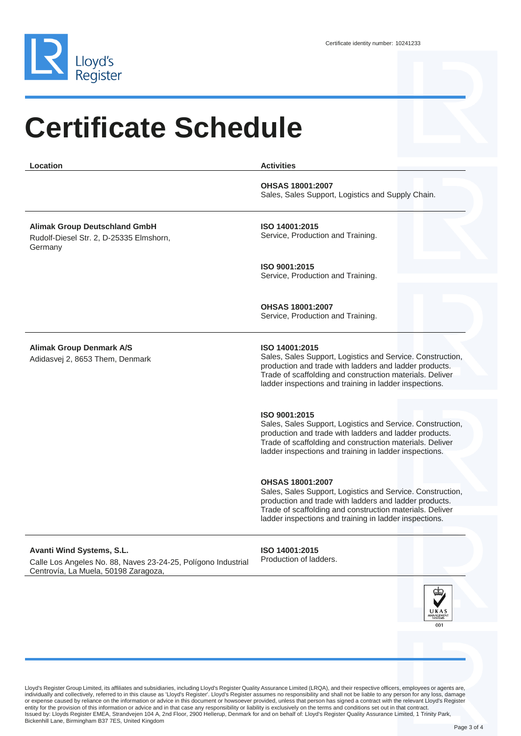

Centrovía, La Muela, 50198 Zaragoza,

## **Certificate Schedule**

| Location                                                                                   | <b>Activities</b>                                                                                                                                                                                                                                                     |
|--------------------------------------------------------------------------------------------|-----------------------------------------------------------------------------------------------------------------------------------------------------------------------------------------------------------------------------------------------------------------------|
|                                                                                            | <b>OHSAS 18001:2007</b><br>Sales, Sales Support, Logistics and Supply Chain.                                                                                                                                                                                          |
| <b>Alimak Group Deutschland GmbH</b><br>Rudolf-Diesel Str. 2, D-25335 Elmshorn,<br>Germany | ISO 14001:2015<br>Service, Production and Training.                                                                                                                                                                                                                   |
|                                                                                            | ISO 9001:2015<br>Service, Production and Training.                                                                                                                                                                                                                    |
|                                                                                            | <b>OHSAS 18001:2007</b><br>Service, Production and Training.                                                                                                                                                                                                          |
| <b>Alimak Group Denmark A/S</b><br>Adidasvej 2, 8653 Them, Denmark                         | ISO 14001:2015<br>Sales, Sales Support, Logistics and Service. Construction,<br>production and trade with ladders and ladder products.<br>Trade of scaffolding and construction materials. Deliver<br>ladder inspections and training in ladder inspections.          |
|                                                                                            | ISO 9001:2015<br>Sales, Sales Support, Logistics and Service. Construction,<br>production and trade with ladders and ladder products.<br>Trade of scaffolding and construction materials. Deliver<br>ladder inspections and training in ladder inspections.           |
|                                                                                            | <b>OHSAS 18001:2007</b><br>Sales, Sales Support, Logistics and Service. Construction,<br>production and trade with ladders and ladder products.<br>Trade of scaffolding and construction materials. Deliver<br>ladder inspections and training in ladder inspections. |
| Avanti Wind Systems, S.L.<br>Calle Los Angeles No. 88, Naves 23-24-25, Polígono Industrial | ISO 14001:2015<br>Production of ladders.                                                                                                                                                                                                                              |

Lloyd's Register Group Limited, its affiliates and subsidiaries, including Lloyd's Register Quality Assurance Limited (LRQA), and their respective officers, employees or agents are,<br>individually and collectively, referred or expense caused by reliance on the information or advice in this document or howsoever provided, unless that person has signed a contract with the relevant Lloyd's Register<br>entity for the provision of this information or Bickenhill Lane, Birmingham B37 7ES, United Kingdom